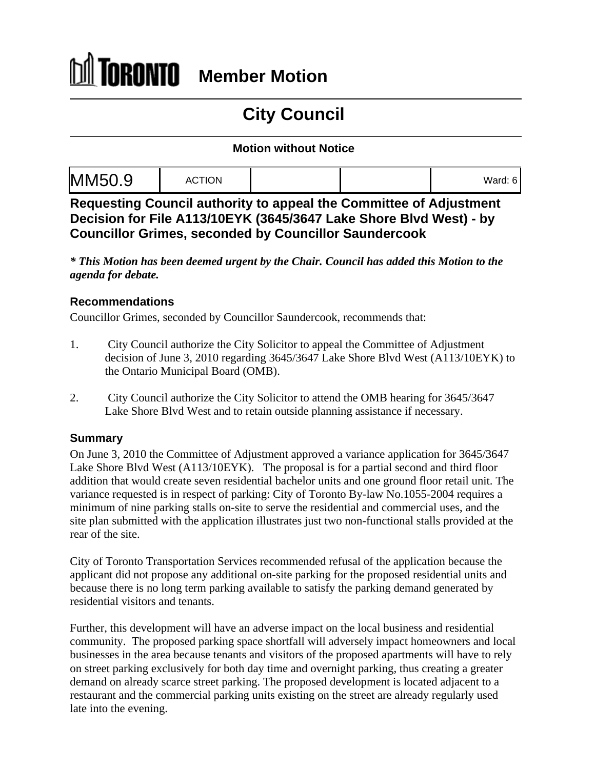## ÍORONTO **Member Motion**

# **City Council**

#### **Motion without Notice**

|--|--|--|

**Requesting Council authority to appeal the Committee of Adjustment Decision for File A113/10EYK (3645/3647 Lake Shore Blvd West) - by Councillor Grimes, seconded by Councillor Saundercook**

*\* This Motion has been deemed urgent by the Chair. Council has added this Motion to the agenda for debate.*

#### **Recommendations**

Councillor Grimes, seconded by Councillor Saundercook, recommends that:

- 1. City Council authorize the City Solicitor to appeal the Committee of Adjustment decision of June 3, 2010 regarding 3645/3647 Lake Shore Blvd West (A113/10EYK) to the Ontario Municipal Board (OMB).
- 2. City Council authorize the City Solicitor to attend the OMB hearing for 3645/3647 Lake Shore Blvd West and to retain outside planning assistance if necessary.

### **Summary**

On June 3, 2010 the Committee of Adjustment approved a variance application for 3645/3647 Lake Shore Blvd West (A113/10EYK). The proposal is for a partial second and third floor addition that would create seven residential bachelor units and one ground floor retail unit. The variance requested is in respect of parking: City of Toronto By-law No.1055-2004 requires a minimum of nine parking stalls on-site to serve the residential and commercial uses, and the site plan submitted with the application illustrates just two non-functional stalls provided at the rear of the site.

City of Toronto Transportation Services recommended refusal of the application because the applicant did not propose any additional on-site parking for the proposed residential units and because there is no long term parking available to satisfy the parking demand generated by residential visitors and tenants. Further, this development will have an adverse impact on the local business and residential

community. The proposed parking space shortfall will adversely impact homeowners and local businesses in the area because tenants and visitors of the proposed apartments will have to rely on street parking exclusively for both day time and overnight parking, thus creating a greater demand on already scarce street parking. The proposed development is located adjacent to a restaurant and the commercial parking units existing on the street are already regularly used late into the evening.